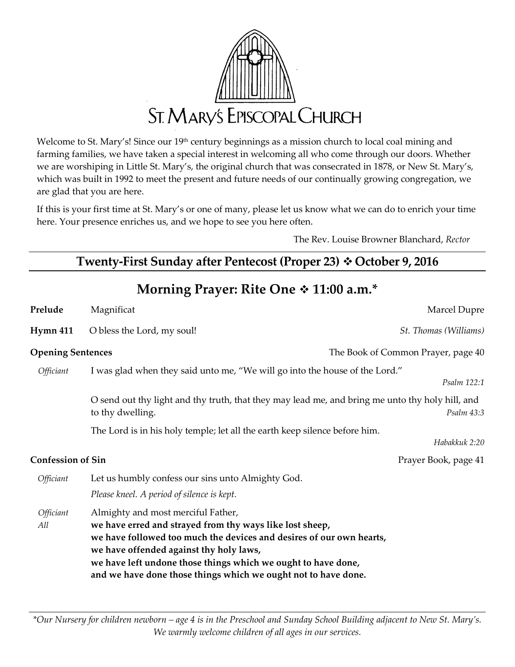

Welcome to St. Mary's! Since our 19th century beginnings as a mission church to local coal mining and farming families, we have taken a special interest in welcoming all who come through our doors. Whether we are worshiping in Little St. Mary's, the original church that was consecrated in 1878, or New St. Mary's, which was built in 1992 to meet the present and future needs of our continually growing congregation, we are glad that you are here.

If this is your first time at St. Mary's or one of many, please let us know what we can do to enrich your time here. Your presence enriches us, and we hope to see you here often.

The Rev. Louise Browner Blanchard, *Rector*

# **Twenty-First Sunday after Pentecost (Proper 23)**  $\div$  **October 9, 2016**

**Morning Prayer: Rite One 11:00 a.m.\***

| Marcel Dupre<br>Magnificat<br>O bless the Lord, my soul!<br>St. Thomas (Williams)<br><b>Opening Sentences</b><br>The Book of Common Prayer, page 40<br>I was glad when they said unto me, "We will go into the house of the Lord."<br><i><b>Officiant</b></i><br>Psalm 122:1<br>O send out thy light and thy truth, that they may lead me, and bring me unto thy holy hill, and<br>to thy dwelling.<br>Psalm 43:3<br>The Lord is in his holy temple; let all the earth keep silence before him.<br>Habakkuk 2:20<br><b>Confession of Sin</b><br>Prayer Book, page 41<br>Let us humbly confess our sins unto Almighty God.<br>Officiant<br>Please kneel. A period of silence is kept.<br>Almighty and most merciful Father,<br><i><b>Officiant</b></i><br>we have erred and strayed from thy ways like lost sheep,<br>All<br>we have followed too much the devices and desires of our own hearts,<br>we have offended against thy holy laws,<br>we have left undone those things which we ought to have done,<br>and we have done those things which we ought not to have done. |          |  |  |
|--------------------------------------------------------------------------------------------------------------------------------------------------------------------------------------------------------------------------------------------------------------------------------------------------------------------------------------------------------------------------------------------------------------------------------------------------------------------------------------------------------------------------------------------------------------------------------------------------------------------------------------------------------------------------------------------------------------------------------------------------------------------------------------------------------------------------------------------------------------------------------------------------------------------------------------------------------------------------------------------------------------------------------------------------------------------------------|----------|--|--|
|                                                                                                                                                                                                                                                                                                                                                                                                                                                                                                                                                                                                                                                                                                                                                                                                                                                                                                                                                                                                                                                                                | Prelude  |  |  |
|                                                                                                                                                                                                                                                                                                                                                                                                                                                                                                                                                                                                                                                                                                                                                                                                                                                                                                                                                                                                                                                                                | Hymn 411 |  |  |
|                                                                                                                                                                                                                                                                                                                                                                                                                                                                                                                                                                                                                                                                                                                                                                                                                                                                                                                                                                                                                                                                                |          |  |  |
|                                                                                                                                                                                                                                                                                                                                                                                                                                                                                                                                                                                                                                                                                                                                                                                                                                                                                                                                                                                                                                                                                |          |  |  |
|                                                                                                                                                                                                                                                                                                                                                                                                                                                                                                                                                                                                                                                                                                                                                                                                                                                                                                                                                                                                                                                                                |          |  |  |
|                                                                                                                                                                                                                                                                                                                                                                                                                                                                                                                                                                                                                                                                                                                                                                                                                                                                                                                                                                                                                                                                                |          |  |  |
|                                                                                                                                                                                                                                                                                                                                                                                                                                                                                                                                                                                                                                                                                                                                                                                                                                                                                                                                                                                                                                                                                |          |  |  |
|                                                                                                                                                                                                                                                                                                                                                                                                                                                                                                                                                                                                                                                                                                                                                                                                                                                                                                                                                                                                                                                                                |          |  |  |
|                                                                                                                                                                                                                                                                                                                                                                                                                                                                                                                                                                                                                                                                                                                                                                                                                                                                                                                                                                                                                                                                                |          |  |  |

*\*Our Nursery for children newborn – age 4 is in the Preschool and Sunday School Building adjacent to New St. Mary's. We warmly welcome children of all ages in our services.*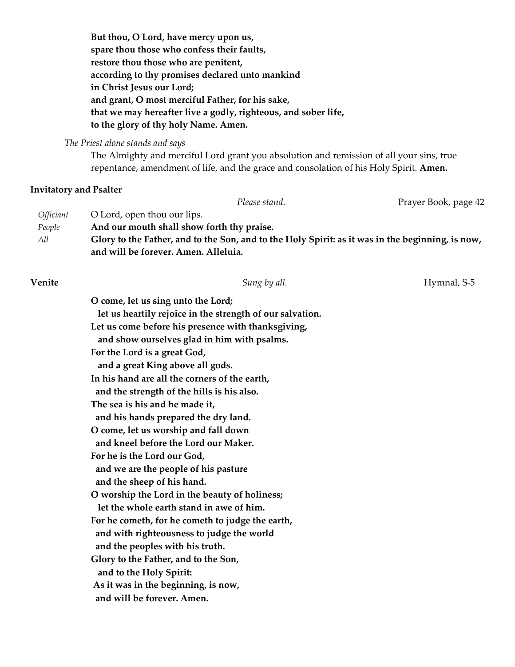**But thou, O Lord, have mercy upon us, spare thou those who confess their faults, restore thou those who are penitent, according to thy promises declared unto mankind in Christ Jesus our Lord; and grant, O most merciful Father, for his sake, that we may hereafter live a godly, righteous, and sober life, to the glory of thy holy Name. Amen.**

*The Priest alone stands and says*

The Almighty and merciful Lord grant you absolution and remission of all your sins, true repentance, amendment of life, and the grace and consolation of his Holy Spirit. **Amen.**

#### **Invitatory and Psalter**

Please stand. The Prayer Book, page 42 *Officiant* **O** Lord, open thou our lips. *People* **And our mouth shall show forth thy praise.** *All* **Glory to the Father, and to the Son, and to the Holy Spirit: as it was in the beginning, is now, and will be forever. Amen. Alleluia.**

**Venite Sung by all.** Sung by all. **Sung by all.** Hymnal, S-5

**O come, let us sing unto the Lord; let us heartily rejoice in the strength of our salvation. Let us come before his presence with thanksgiving, and show ourselves glad in him with psalms. For the Lord is a great God, and a great King above all gods. In his hand are all the corners of the earth, and the strength of the hills is his also. The sea is his and he made it, and his hands prepared the dry land. O come, let us worship and fall down and kneel before the Lord our Maker. For he is the Lord our God, and we are the people of his pasture and the sheep of his hand. O worship the Lord in the beauty of holiness; let the whole earth stand in awe of him. For he cometh, for he cometh to judge the earth, and with righteousness to judge the world and the peoples with his truth. Glory to the Father, and to the Son, and to the Holy Spirit: As it was in the beginning, is now, and will be forever. Amen.**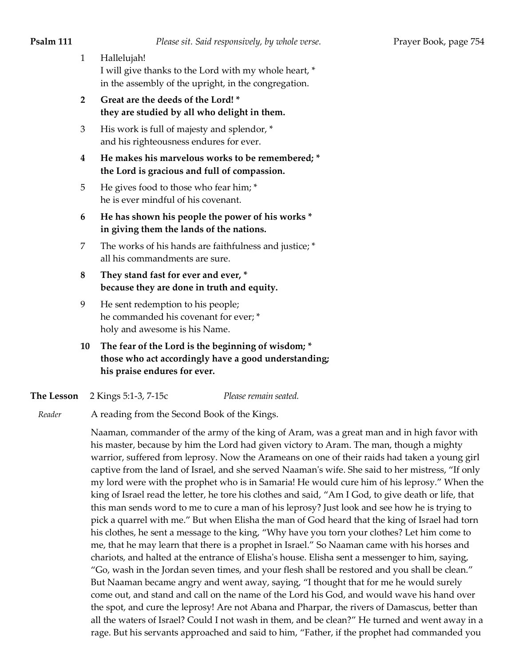- 1 Hallelujah! I will give thanks to the Lord with my whole heart, \* in the assembly of the upright, in the congregation.
- **2 Great are the deeds of the Lord! \* they are studied by all who delight in them.**
- 3 His work is full of majesty and splendor, \* and his righteousness endures for ever.
- **4 He makes his marvelous works to be remembered; \* the Lord is gracious and full of compassion.**
- 5 He gives food to those who fear him; \* he is ever mindful of his covenant.
- **6 He has shown his people the power of his works \* in giving them the lands of the nations.**
- 7 The works of his hands are faithfulness and justice; \* all his commandments are sure.
- **8 They stand fast for ever and ever, \* because they are done in truth and equity.**
- 9 He sent redemption to his people; he commanded his covenant for ever; \* holy and awesome is his Name.
- **10 The fear of the Lord is the beginning of wisdom; \* those who act accordingly have a good understanding; his praise endures for ever.**
- **The Lesson** 2 Kings 5:1-3, 7-15c *Please remain seated.*
- *Reader* A reading from the Second Book of the Kings.

Naaman, commander of the army of the king of Aram, was a great man and in high favor with his master, because by him the Lord had given victory to Aram. The man, though a mighty warrior, suffered from leprosy. Now the Arameans on one of their raids had taken a young girl captive from the land of Israel, and she served Naaman's wife. She said to her mistress, "If only my lord were with the prophet who is in Samaria! He would cure him of his leprosy." When the king of Israel read the letter, he tore his clothes and said, "Am I God, to give death or life, that this man sends word to me to cure a man of his leprosy? Just look and see how he is trying to pick a quarrel with me." But when Elisha the man of God heard that the king of Israel had torn his clothes, he sent a message to the king, "Why have you torn your clothes? Let him come to me, that he may learn that there is a prophet in Israel." So Naaman came with his horses and chariots, and halted at the entrance of Elisha's house. Elisha sent a messenger to him, saying, "Go, wash in the Jordan seven times, and your flesh shall be restored and you shall be clean." But Naaman became angry and went away, saying, "I thought that for me he would surely come out, and stand and call on the name of the Lord his God, and would wave his hand over the spot, and cure the leprosy! Are not Abana and Pharpar, the rivers of Damascus, better than all the waters of Israel? Could I not wash in them, and be clean?" He turned and went away in a rage. But his servants approached and said to him, "Father, if the prophet had commanded you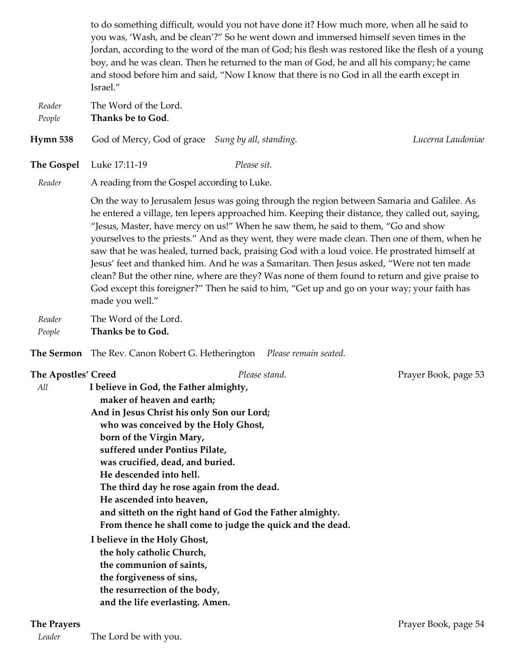to do something difficult, would you not have done it? How much more, when all he said to you was, 'Wash, and be clean'?" So he went down and immersed himself seven times in the Jordan, according to the word of the man of God; his flesh was restored like the flesh of a young boy, and he was clean. Then he returned to the man of God, he and all his company; he came and stood before him and said, "Now I know that there is no God in all the earth except in Israel."

*Reader* The Word of the Lord. *People* **Thanks be to God**. **Hymn 538** God of Mercy, God of grace *Sung by all*, *standing. Lucerna Laudoniae* **The Gospel** Luke 17:11-19 *Please sit. Reader* A reading from the Gospel according to Luke. On the way to Jerusalem Jesus was going through the region between Samaria and Galilee. As he entered a village, ten lepers approached him. Keeping their distance, they called out, saying, "Jesus, Master, have mercy on us!" When he saw them, he said to them, "Go and show yourselves to the priests." And as they went, they were made clean. Then one of them, when he saw that he was healed, turned back, praising God with a loud voice. He prostrated himself at Jesus' feet and thanked him. And he was a Samaritan. Then Jesus asked, "Were not ten made clean? But the other nine, where are they? Was none of them found to return and give praise to God except this foreigner?" Then he said to him, "Get up and go on your way; your faith has made you well." *Reader* The Word of the Lord. *People* **Thanks be to God. The Sermon** The Rev. Canon Robert G. Hetherington *Please remain seated.* **The Apostles' Creed** *Please stand.* Prayer Book, page 53  *All* **I believe in God, the Father almighty, maker of heaven and earth; And in Jesus Christ his only Son our Lord; who was conceived by the Holy Ghost, born of the Virgin Mary, suffered under Pontius Pilate, was crucified, dead, and buried. He descended into hell. The third day he rose again from the dead. He ascended into heaven, and sitteth on the right hand of God the Father almighty. From thence he shall come to judge the quick and the dead. I believe in the Holy Ghost, the holy catholic Church, the communion of saints, the forgiveness of sins, the resurrection of the body, and the life everlasting. Amen.**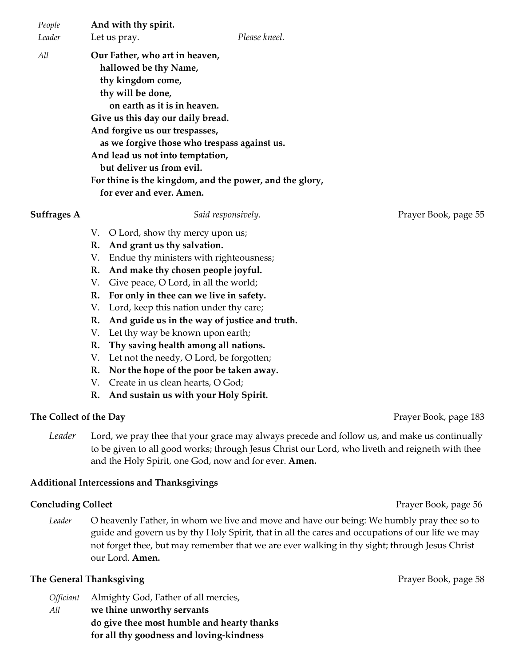| People      | And with thy spirit.                                    |                    |                      |  |  |
|-------------|---------------------------------------------------------|--------------------|----------------------|--|--|
| Leader      | Let us pray.                                            | Please kneel.      |                      |  |  |
| All         | Our Father, who art in heaven,                          |                    |                      |  |  |
|             | hallowed be thy Name,                                   |                    |                      |  |  |
|             | thy kingdom come,                                       |                    |                      |  |  |
|             | thy will be done,                                       |                    |                      |  |  |
|             | on earth as it is in heaven.                            |                    |                      |  |  |
|             | Give us this day our daily bread.                       |                    |                      |  |  |
|             | And forgive us our trespasses,                          |                    |                      |  |  |
|             | as we forgive those who trespass against us.            |                    |                      |  |  |
|             | And lead us not into temptation,                        |                    |                      |  |  |
|             | but deliver us from evil.                               |                    |                      |  |  |
|             | For thine is the kingdom, and the power, and the glory, |                    |                      |  |  |
|             | for ever and ever. Amen.                                |                    |                      |  |  |
| Suffrages A |                                                         | Said responsively. | Prayer Book, page 55 |  |  |
|             | O Lord, show thy mercy upon us;<br>V.                   |                    |                      |  |  |
|             | And grant us thy salvation.<br>R.                       |                    |                      |  |  |

- V. Endue thy ministers with righteousness;
- **R. And make thy chosen people joyful.**
- V. Give peace, O Lord, in all the world;
- **R. For only in thee can we live in safety.**
- V. Lord, keep this nation under thy care;
- **R. And guide us in the way of justice and truth.**
- V. Let thy way be known upon earth;
- **R. Thy saving health among all nations.**
- V. Let not the needy, O Lord, be forgotten;
- **R. Nor the hope of the poor be taken away.**
- V. Create in us clean hearts, O God;
- **R. And sustain us with your Holy Spirit.**

### **The Collect of the Day** Prayer Book, page 183

*Leader* Lord, we pray thee that your grace may always precede and follow us, and make us continually to be given to all good works; through Jesus Christ our Lord, who liveth and reigneth with thee and the Holy Spirit, one God, now and for ever. **Amen.**

### **Additional Intercessions and Thanksgivings**

### **Concluding Collect Properties Access 2008 Prayer Book, page 56**

*Leader* O heavenly Father, in whom we live and move and have our being: We humbly pray thee so to guide and govern us by thy Holy Spirit, that in all the cares and occupations of our life we may not forget thee, but may remember that we are ever walking in thy sight; through Jesus Christ our Lord. **Amen.**

### **The General Thanksgiving Prayer Book**, page 58

*Officiant* Almighty God, Father of all mercies, *All* **we thine unworthy servants do give thee most humble and hearty thanks for all thy goodness and loving-kindness**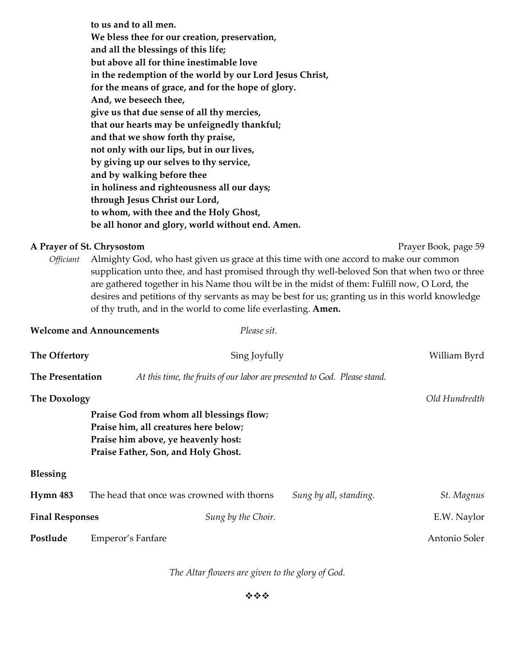**to us and to all men. We bless thee for our creation, preservation, and all the blessings of this life; but above all for thine inestimable love in the redemption of the world by our Lord Jesus Christ, for the means of grace, and for the hope of glory. And, we beseech thee, give us that due sense of all thy mercies, that our hearts may be unfeignedly thankful; and that we show forth thy praise, not only with our lips, but in our lives, by giving up our selves to thy service, and by walking before thee in holiness and righteousness all our days; through Jesus Christ our Lord, to whom, with thee and the Holy Ghost, be all honor and glory, world without end. Amen.**

#### **A Prayer of St. Chrysostom Prayer Book, page 59**

*Officiant* Almighty God, who hast given us grace at this time with one accord to make our common supplication unto thee, and hast promised through thy well-beloved Son that when two or three are gathered together in his Name thou wilt be in the midst of them: Fulfill now, O Lord, the desires and petitions of thy servants as may be best for us; granting us in this world knowledge of thy truth, and in the world to come life everlasting. **Amen.**

|                         | <b>Welcome and Announcements</b><br>Please sit.                                                                                                                 |                                      |  |
|-------------------------|-----------------------------------------------------------------------------------------------------------------------------------------------------------------|--------------------------------------|--|
| The Offertory           | Sing Joyfully                                                                                                                                                   | William Byrd                         |  |
| <b>The Presentation</b> | At this time, the fruits of our labor are presented to God. Please stand.                                                                                       |                                      |  |
| <b>The Doxology</b>     |                                                                                                                                                                 | Old Hundredth                        |  |
|                         | Praise God from whom all blessings flow;<br>Praise him, all creatures here below;<br>Praise him above, ye heavenly host:<br>Praise Father, Son, and Holy Ghost. |                                      |  |
| <b>Blessing</b>         |                                                                                                                                                                 |                                      |  |
| <b>Hymn 483</b>         | The head that once was crowned with thorns                                                                                                                      | Sung by all, standing.<br>St. Magnus |  |
| <b>Final Responses</b>  | Sung by the Choir.                                                                                                                                              | E.W. Naylor                          |  |
| Postlude                | Emperor's Fanfare                                                                                                                                               | Antonio Soler                        |  |
|                         |                                                                                                                                                                 |                                      |  |

*The Altar flowers are given to the glory of God.*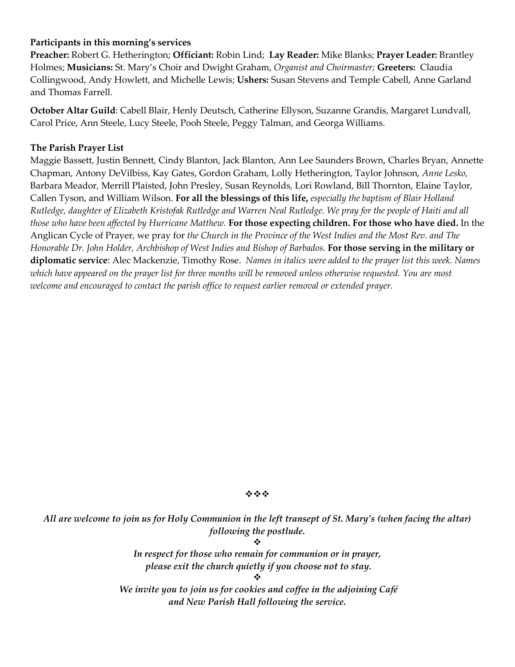## **Participants in this morning's services**

**Preacher:** Robert G. Hetherington; **Officiant:** Robin Lind; **Lay Reader:** Mike Blanks; **Prayer Leader:** Brantley Holmes; **Musicians:** St. Mary's Choir and Dwight Graham, *Organist and Choirmaster;* **Greeters:**Claudia Collingwood, Andy Howlett, and Michelle Lewis; **Ushers:** Susan Stevens and Temple Cabell, Anne Garland and Thomas Farrell.

**October Altar Guild**: Cabell Blair, Henly Deutsch, Catherine Ellyson, Suzanne Grandis, Margaret Lundvall, Carol Price, Ann Steele, Lucy Steele, Pooh Steele, Peggy Talman, and Georga Williams.

### **The Parish Prayer List**

Maggie Bassett, Justin Bennett, Cindy Blanton, Jack Blanton, Ann Lee Saunders Brown, Charles Bryan, Annette Chapman, Antony DeVilbiss, Kay Gates, Gordon Graham, Lolly Hetherington, Taylor Johnson, *Anne Lesko,*  Barbara Meador, Merrill Plaisted, John Presley, Susan Reynolds, Lori Rowland, Bill Thornton, Elaine Taylor, Callen Tyson, and William Wilson. **For all the blessings of this life,** *especially the baptism of Blair Holland Rutledge, daughter of Elizabeth Kristofak Rutledge and Warren Neal Rutledge. We pray for the people of Haiti and all those who have been affected by Hurricane Matthew.* **For those expecting children. For those who have died.** In the Anglican Cycle of Prayer, we pray for *the Church in the Province of the West Indies and the Most Rev. and The Honorable Dr. John Holder, Archbishop of West Indies and Bishop of Barbados.* **For those serving in the military or diplomatic service**: Alec Mackenzie, Timothy Rose. *Names in italics were added to the prayer list this week. Names which have appeared on the prayer list for three months will be removed unless otherwise requested. You are most welcome and encouraged to contact the parish office to request earlier removal or extended prayer.*

#### \*\*\*

*All are welcome to join us for Holy Communion in the left transept of St. Mary's (when facing the altar) following the postlude.* ❖

> *In respect for those who remain for communion or in prayer, please exit the church quietly if you choose not to stay.*

❖ *We invite you to join us for cookies and coffee in the adjoining Café and New Parish Hall following the service.*